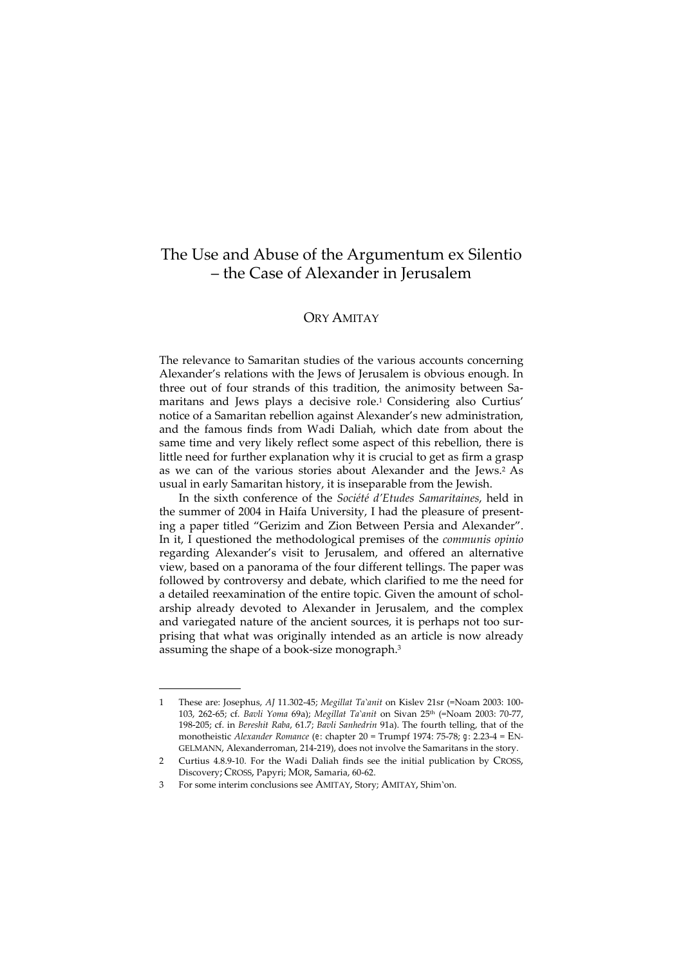# The Use and Abuse of the Argumentum ex Silentio – the Case of Alexander in Jerusalem

# ORY AMITAY

The relevance to Samaritan studies of the various accounts concerning Alexander's relations with the Jews of Jerusalem is obvious enough. In three out of four strands of this tradition, the animosity between Samaritans and Jews plays a decisive role.1 Considering also Curtius' notice of a Samaritan rebellion against Alexander's new administration, and the famous finds from Wadi Daliah, which date from about the same time and very likely reflect some aspect of this rebellion, there is little need for further explanation why it is crucial to get as firm a grasp as we can of the various stories about Alexander and the Jews.2 As usual in early Samaritan history, it is inseparable from the Jewish.

In the sixth conference of the *Société d'Etudes Samaritaines*, held in the summer of 2004 in Haifa University. I had the pleasure of presenting a paper titled "Gerizim and Zion Between Persia and Alexander". In it, I questioned the methodological premises of the *communis opinio* regarding Alexander's visit to Jerusalem, and offered an alternative view, based on a panorama of the four different tellings. The paper was followed by controversy and debate, which clarified to me the need for a detailed reexamination of the entire topic. Given the amount of scholarship already devoted to Alexander in Jerusalem, and the complex and variegated nature of the ancient sources, it is perhaps not too surprising that what was originally intended as an article is now already assuming the shape of a book‐size monograph.3

<sup>1</sup> These are: Josephus, *AJ* 11.302‐45; *Megillat Ta'anit* on Kislev 21sr (=Noam 2003: 100‐ 103, 262‐65; cf. *Bavli Yoma* 69a); *Megillat Ta'anit* on Sivan 25th (=Noam 2003: 70‐77, 198‐205; cf. in *Bereshit Raba*, 61.7; *Bavli Sanhedrin* 91a). The fourth telling, that of the monotheistic *Alexander Romance* (e: chapter 20 = Trumpf 1974: 75‐78; g: 2.23‐4 = EN‐ GELMANN, Alexanderroman, 214‐219), does not involve the Samaritans in the story.

<sup>2</sup> Curtius 4.8.9‐10. For the Wadi Daliah finds see the initial publication by CROSS, Discovery; CROSS, Papyri; MOR, Samaria, 60‐62.

<sup>3</sup> For some interim conclusions see AMITAY, Story; AMITAY, Shim'on.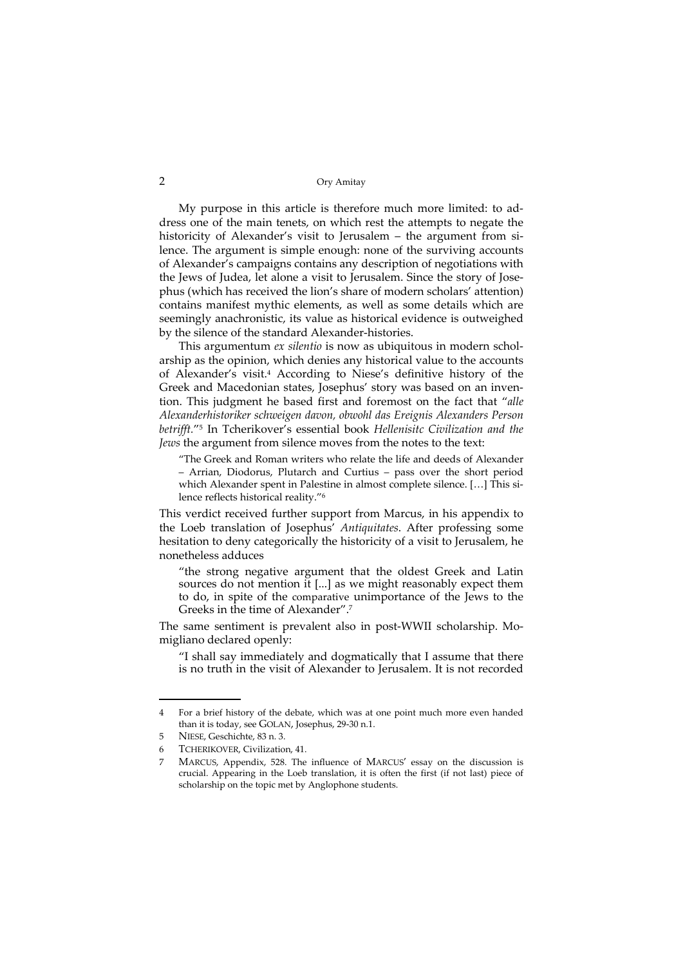My purpose in this article is therefore much more limited: to ad‐ dress one of the main tenets, on which rest the attempts to negate the historicity of Alexander's visit to Jerusalem – the argument from silence. The argument is simple enough: none of the surviving accounts of Alexander's campaigns contains any description of negotiations with the Jews of Judea, let alone a visit to Jerusalem. Since the story of Josephus (which has received the lion's share of modern scholars' attention) contains manifest mythic elements, as well as some details which are seemingly anachronistic, its value as historical evidence is outweighed by the silence of the standard Alexander‐histories.

This argumentum *ex silentio* is now as ubiquitous in modern schol‐ arship as the opinion, which denies any historical value to the accounts of Alexander's visit.4 According to Niese's definitive history of the Greek and Macedonian states, Josephus' story was based on an inven‐ tion. This judgment he based first and foremost on the fact that "*alle Alexanderhistoriker schweigen davon, obwohl das Ereignis Alexanders Person betrifft.*"5 In Tcherikover's essential book *Hellenisitc Civilization and the Jews* the argument from silence moves from the notes to the text:

"The Greek and Roman writers who relate the life and deeds of Alexander – Arrian, Diodorus, Plutarch and Curtius – pass over the short period which Alexander spent in Palestine in almost complete silence. [...] This silence reflects historical reality."6

This verdict received further support from Marcus, in his appendix to the Loeb translation of Josephus' *Antiquitates*. After professing some hesitation to deny categorically the historicity of a visit to Jerusalem, he nonetheless adduces

"the strong negative argument that the oldest Greek and Latin sources do not mention it [...] as we might reasonably expect them to do, in spite of the comparative unimportance of the Jews to the Greeks in the time of Alexander".7

The same sentiment is prevalent also in post‐WWII scholarship. Mo‐ migliano declared openly:

"I shall say immediately and dogmatically that I assume that there is no truth in the visit of Alexander to Jerusalem. It is not recorded

<sup>4</sup> For a brief history of the debate, which was at one point much more even handed than it is today, see GOLAN, Josephus, 29‐30 n.1.

<sup>5</sup> NIESE, Geschichte, 83 n. 3.

<sup>6</sup> TCHERIKOVER, Civilization, 41.

<sup>7</sup> MARCUS, Appendix, 528. The influence of MARCUS' essay on the discussion is crucial. Appearing in the Loeb translation, it is often the first (if not last) piece of scholarship on the topic met by Anglophone students.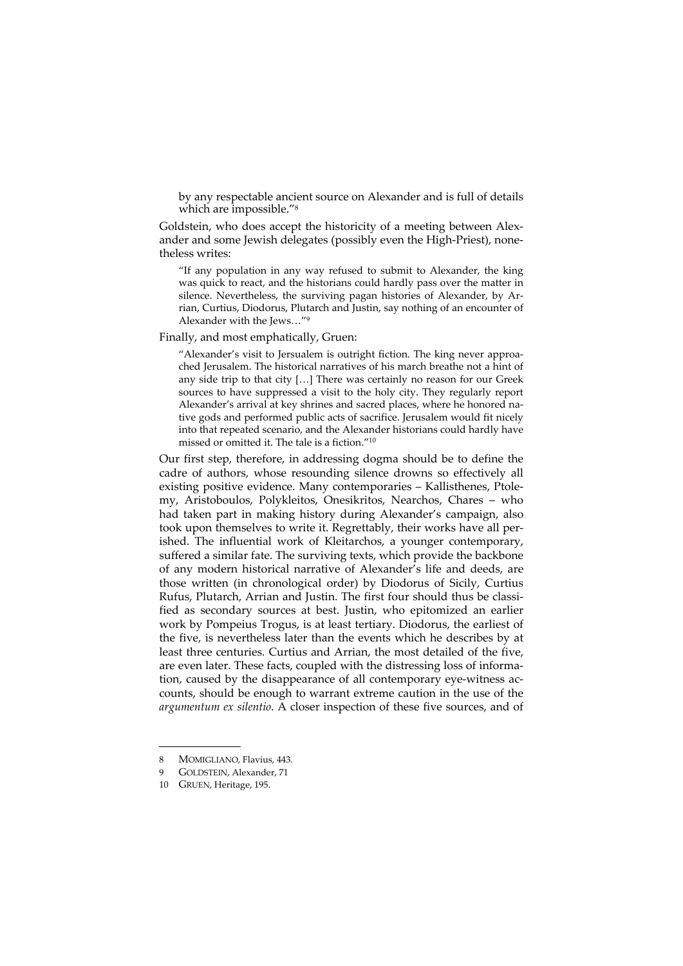by any respectable ancient source on Alexander and is full of details which are impossible."8

Goldstein, who does accept the historicity of a meeting between Alexander and some Jewish delegates (possibly even the High‐Priest), none‐ theless writes:

"If any population in any way refused to submit to Alexander, the king was quick to react, and the historians could hardly pass over the matter in silence. Nevertheless, the surviving pagan histories of Alexander, by Arrian, Curtius, Diodorus, Plutarch and Justin, say nothing of an encounter of Alexander with the Jews…"9

Finally, and most emphatically, Gruen:

"Alexander's visit to Jersualem is outright fiction. The king never approa‐ ched Jerusalem. The historical narratives of his march breathe not a hint of any side trip to that city […] There was certainly no reason for our Greek sources to have suppressed a visit to the holy city. They regularly report Alexander's arrival at key shrines and sacred places, where he honored na‐ tive gods and performed public acts of sacrifice. Jerusalem would fit nicely into that repeated scenario, and the Alexander historians could hardly have missed or omitted it. The tale is a fiction."10

Our first step, therefore, in addressing dogma should be to define the cadre of authors, whose resounding silence drowns so effectively all existing positive evidence. Many contemporaries – Kallisthenes, Ptole‐ my, Aristoboulos, Polykleitos, Onesikritos, Nearchos, Chares – who had taken part in making history during Alexander's campaign, also took upon themselves to write it. Regrettably, their works have all per‐ ished. The influential work of Kleitarchos, a younger contemporary, suffered a similar fate. The surviving texts, which provide the backbone of any modern historical narrative of Alexander's life and deeds, are those written (in chronological order) by Diodorus of Sicily, Curtius Rufus, Plutarch, Arrian and Justin. The first four should thus be classi‐ fied as secondary sources at best. Justin, who epitomized an earlier work by Pompeius Trogus, is at least tertiary. Diodorus, the earliest of the five, is nevertheless later than the events which he describes by at least three centuries. Curtius and Arrian, the most detailed of the five, are even later. These facts, coupled with the distressing loss of informa‐ tion, caused by the disappearance of all contemporary eye-witness accounts, should be enough to warrant extreme caution in the use of the *argumentum ex silentio*. A closer inspection of these five sources, and of

<sup>8</sup> MOMIGLIANO, Flavius, 443.

<sup>9</sup> GOLDSTEIN, Alexander, 71

<sup>10</sup> GRUEN, Heritage, 195.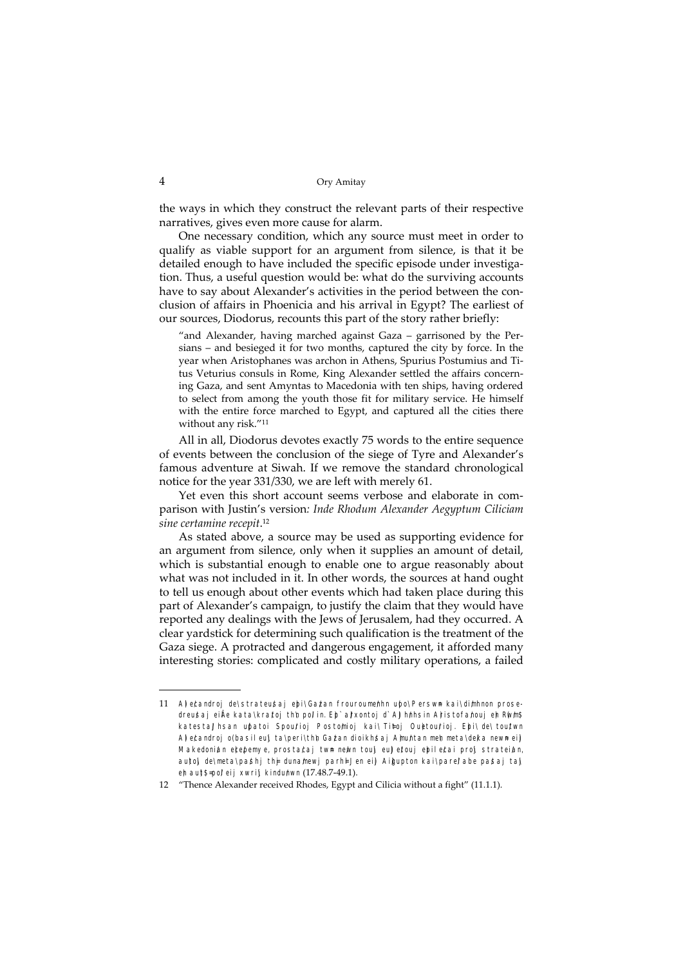the ways in which they construct the relevant parts of their respective narratives, gives even more cause for alarm.

One necessary condition, which any source must meet in order to qualify as viable support for an argument from silence, is that it be detailed enough to have included the specific episode under investigation. Thus, a useful question would be: what do the surviving accounts have to say about Alexander's activities in the period between the conclusion of affairs in Phoenicia and his arrival in Egypt? The earliest of our sources, Diodorus, recounts this part of the story rather briefly:

"and Alexander, having marched against Gaza – garrisoned by the Per‐ sians – and besieged it for two months, captured the city by force. In the year when Aristophanes was archon in Athens, Spurius Postumius and Ti‐ tus Veturius consuls in Rome, King Alexander settled the affairs concerning Gaza, and sent Amyntas to Macedonia with ten ships, having ordered to select from among the youth those fit for military service. He himself with the entire force marched to Egypt, and captured all the cities there without any risk."11

All in all, Diodorus devotes exactly 75 words to the entire sequence of events between the conclusion of the siege of Tyre and Alexander's famous adventure at Siwah. If we remove the standard chronological notice for the year 331/330, we are left with merely 61.

Yet even this short account seems verbose and elaborate in comparison with Justin's version*: Inde Rhodum Alexander Aegyptum Ciliciam sine certamine recepit*. 12

As stated above, a source may be used as supporting evidence for an argument from silence, only when it supplies an amount of detail, which is substantial enough to enable one to argue reasonably about what was not included in it. In other words, the sources at hand ought to tell us enough about other events which had taken place during this part of Alexander's campaign, to justify the claim that they would have reported any dealings with the Jews of Jerusalem, had they occurred. A clear yardstick for determining such qualification is the treatment of the Gaza siege. A protracted and dangerous engagement, it afforded many interesting stories: complicated and costly military operations, a failed

<sup>11</sup> A) etandroj de\ strateusaj ebi\ Gazan frouroumehhn upo\ Perswn kai\ dimhnon prosedreu/saj eil e kata\ kratoj thh pol in. Ep` a) xontoj d` A)Jh/nhsin A) ristofa/nouj e)n R(w/m\$ katesta/Jhsan upatoi Spou/ioj Postomioj kai\ Titoj Ouetou/rioj. Epi\ de\ tou/twn A) ecandroi o( basil eu\ ta\ peri\ th\ Gakan dioikh sai A)muntan meh meta\ de ka newn ei) Makedonian e)cepemye, prostałaj twn nelwn touj eu)Jełouj epilełai proj strateilan, au)toj de\ meta\ pashj thi duna/mewj parhi Jen ei)j Ai) upton kai\ parel abe pasaj taj e)n au)t\$=poleij xwrij kindu/nwn (17.48.7-49.1).

<sup>12</sup> "Thence Alexander received Rhodes, Egypt and Cilicia without a fight" (11.1.1).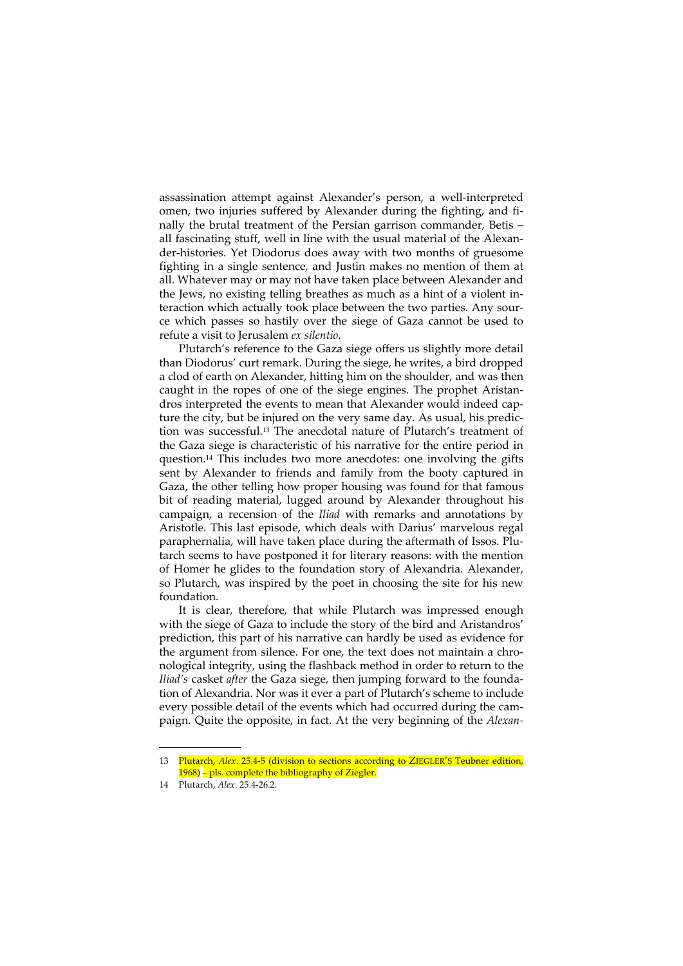assassination attempt against Alexander's person, a well-interpreted omen, two injuries suffered by Alexander during the fighting, and fi‐ nally the brutal treatment of the Persian garrison commander, Betis – all fascinating stuff, well in line with the usual material of the Alexander‐histories. Yet Diodorus does away with two months of gruesome fighting in a single sentence, and Justin makes no mention of them at all. Whatever may or may not have taken place between Alexander and the Jews, no existing telling breathes as much as a hint of a violent in‐ teraction which actually took place between the two parties. Any source which passes so hastily over the siege of Gaza cannot be used to refute a visit to Jerusalem *ex silentio*.

Plutarch's reference to the Gaza siege offers us slightly more detail than Diodorus' curt remark. During the siege, he writes, a bird dropped a clod of earth on Alexander, hitting him on the shoulder, and was then caught in the ropes of one of the siege engines. The prophet Aristandros interpreted the events to mean that Alexander would indeed cap‐ ture the city, but be injured on the very same day. As usual, his predic‐ tion was successful.13 The anecdotal nature of Plutarch's treatment of the Gaza siege is characteristic of his narrative for the entire period in question.14 This includes two more anecdotes: one involving the gifts sent by Alexander to friends and family from the booty captured in Gaza, the other telling how proper housing was found for that famous bit of reading material, lugged around by Alexander throughout his campaign, a recension of the *Iliad* with remarks and annotations by Aristotle. This last episode, which deals with Darius' marvelous regal paraphernalia, will have taken place during the aftermath of Issos. Plu‐ tarch seems to have postponed it for literary reasons: with the mention of Homer he glides to the foundation story of Alexandria. Alexander, so Plutarch, was inspired by the poet in choosing the site for his new foundation.

It is clear, therefore, that while Plutarch was impressed enough with the siege of Gaza to include the story of the bird and Aristandros' prediction, this part of his narrative can hardly be used as evidence for the argument from silence. For one, the text does not maintain a chronological integrity, using the flashback method in order to return to the *Iliad's* casket *after* the Gaza siege, then jumping forward to the founda‐ tion of Alexandria. Nor was it ever a part of Plutarch's scheme to include every possible detail of the events which had occurred during the campaign. Quite the opposite, in fact. At the very beginning of the *Alexan‐*

<sup>13</sup> Plutarch, *Alex*. 25.4‐5 (division to sections according to ZIEGLER'S Teubner edition, 1968) – pls. complete the bibliography of Ziegler.

<sup>14</sup> Plutarch, *Alex*. 25.4‐26.2.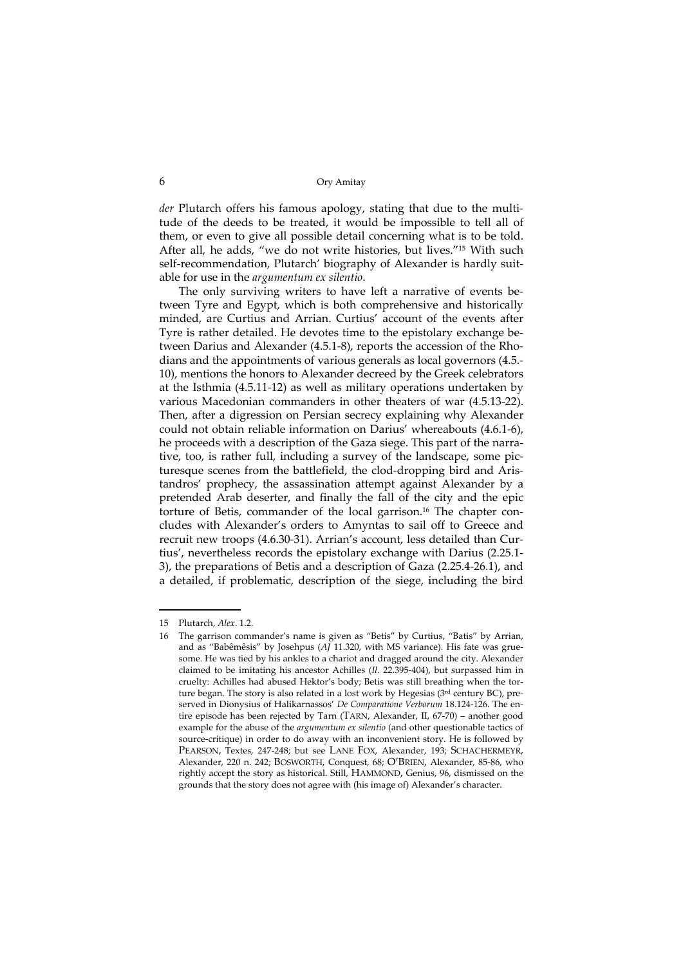*der* Plutarch offers his famous apology, stating that due to the multitude of the deeds to be treated, it would be impossible to tell all of them, or even to give all possible detail concerning what is to be told. After all, he adds, "we do not write histories, but lives."15 With such self-recommendation, Plutarch' biography of Alexander is hardly suitable for use in the *argumentum ex silentio*.

The only surviving writers to have left a narrative of events be‐ tween Tyre and Egypt, which is both comprehensive and historically minded, are Curtius and Arrian. Curtius' account of the events after Tyre is rather detailed. He devotes time to the epistolary exchange be‐ tween Darius and Alexander (4.5.1-8), reports the accession of the Rhodians and the appointments of various generals as local governors (4.5.‐ 10), mentions the honors to Alexander decreed by the Greek celebrators at the Isthmia (4.5.11‐12) as well as military operations undertaken by various Macedonian commanders in other theaters of war (4.5.13‐22). Then, after a digression on Persian secrecy explaining why Alexander could not obtain reliable information on Darius' whereabouts (4.6.1‐6), he proceeds with a description of the Gaza siege. This part of the narrative, too, is rather full, including a survey of the landscape, some pic‐ turesque scenes from the battlefield, the clod-dropping bird and Aristandros' prophecy, the assassination attempt against Alexander by a pretended Arab deserter, and finally the fall of the city and the epic torture of Betis, commander of the local garrison.<sup>16</sup> The chapter concludes with Alexander's orders to Amyntas to sail off to Greece and recruit new troops (4.6.30‐31). Arrian's account, less detailed than Cur‐ tius', nevertheless records the epistolary exchange with Darius (2.25.1‐ 3), the preparations of Betis and a description of Gaza (2.25.4‐26.1), and a detailed, if problematic, description of the siege, including the bird

 15 Plutarch, *Alex*. 1.2.

<sup>16</sup> The garrison commander's name is given as "Betis" by Curtius, "Batis" by Arrian, and as "Babêmêsis" by Josehpus (*AJ* 11.320, with MS variance). His fate was gruesome. He was tied by his ankles to a chariot and dragged around the city. Alexander claimed to be imitating his ancestor Achilles (*Il*. 22.395‐404), but surpassed him in cruelty: Achilles had abused Hektor's body; Betis was still breathing when the tor‐ ture began. The story is also related in a lost work by Hegesias (3<sup>rd</sup> century BC), preserved in Dionysius of Halikarnassos' *De Comparatione Verborum* 18.124‐126. The en‐ tire episode has been rejected by Tarn (TARN, Alexander, II, 67‐70) – another good example for the abuse of the *argumentum ex silentio* (and other questionable tactics of source-critique) in order to do away with an inconvenient story. He is followed by PEARSON, Textes, 247‐248; but see LANE FOX, Alexander, 193; SCHACHERMEYR, Alexander, 220 n. 242; BOSWORTH, Conquest, 68; O'BRIEN, Alexander, 85‐86, who rightly accept the story as historical. Still, HAMMOND, Genius, 96, dismissed on the grounds that the story does not agree with (his image of) Alexander's character.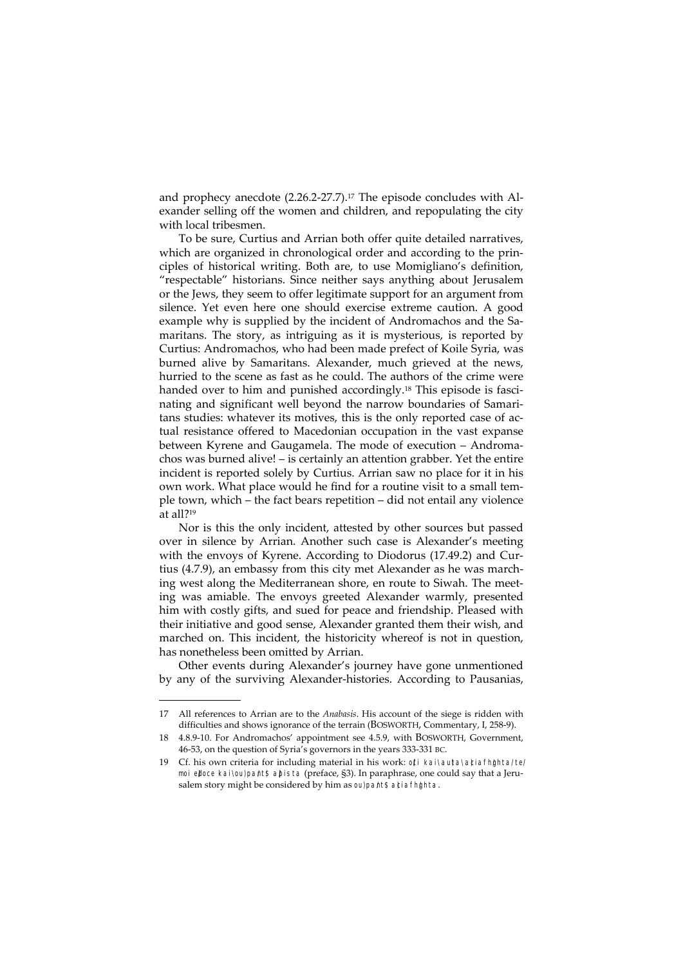and prophecy anecdote (2.26.2-27.7).<sup>17</sup> The episode concludes with Alexander selling off the women and children, and repopulating the city with local tribesmen.

To be sure, Curtius and Arrian both offer quite detailed narratives, which are organized in chronological order and according to the principles of historical writing. Both are, to use Momigliano's definition, "respectable" historians. Since neither says anything about Jerusalem or the Jews, they seem to offer legitimate support for an argument from silence. Yet even here one should exercise extreme caution. A good example why is supplied by the incident of Andromachos and the Samaritans. The story, as intriguing as it is mysterious, is reported by Curtius: Andromachos, who had been made prefect of Koile Syria, was burned alive by Samaritans. Alexander, much grieved at the news, hurried to the scene as fast as he could. The authors of the crime were handed over to him and punished accordingly.<sup>18</sup> This episode is fascinating and significant well beyond the narrow boundaries of Samari‐ tans studies: whatever its motives, this is the only reported case of ac‐ tual resistance offered to Macedonian occupation in the vast expanse between Kyrene and Gaugamela. The mode of execution - Andromachos was burned alive! – is certainly an attention grabber. Yet the entire incident is reported solely by Curtius. Arrian saw no place for it in his own work. What place would he find for a routine visit to a small temple town, which – the fact bears repetition – did not entail any violence at all?19

Nor is this the only incident, attested by other sources but passed over in silence by Arrian. Another such case is Alexander's meeting with the envoys of Kyrene. According to Diodorus (17.49.2) and Cur‐ tius (4.7.9), an embassy from this city met Alexander as he was marching west along the Mediterranean shore, en route to Siwah. The meeting was amiable. The envoys greeted Alexander warmly, presented him with costly gifts, and sued for peace and friendship. Pleased with their initiative and good sense, Alexander granted them their wish, and marched on. This incident, the historicity whereof is not in question, has nonetheless been omitted by Arrian.

Other events during Alexander's journey have gone unmentioned by any of the surviving Alexander‐histories. According to Pausanias,

<sup>17</sup> All references to Arrian are to the *Anabasis*. His account of the siege is ridden with difficulties and shows ignorance of the terrain (BOSWORTH, Commentary, I, 258‐9).

<sup>18</sup> 4.8.9‐10. For Andromachos' appointment see 4.5.9, with BOSWORTH, Government, 46‐53, on the question of Syria's governors in the years 333‐331 BC.

<sup>19</sup> Cf. his own criteria for including material in his work: ot i kail autal a ciafhighta/ te/ moi edoce kai\ou) paht\$ abista (preface, §3). In paraphrase, one could say that a Jerusalem story might be considered by him as ou) pant\$ a)ciafhghta.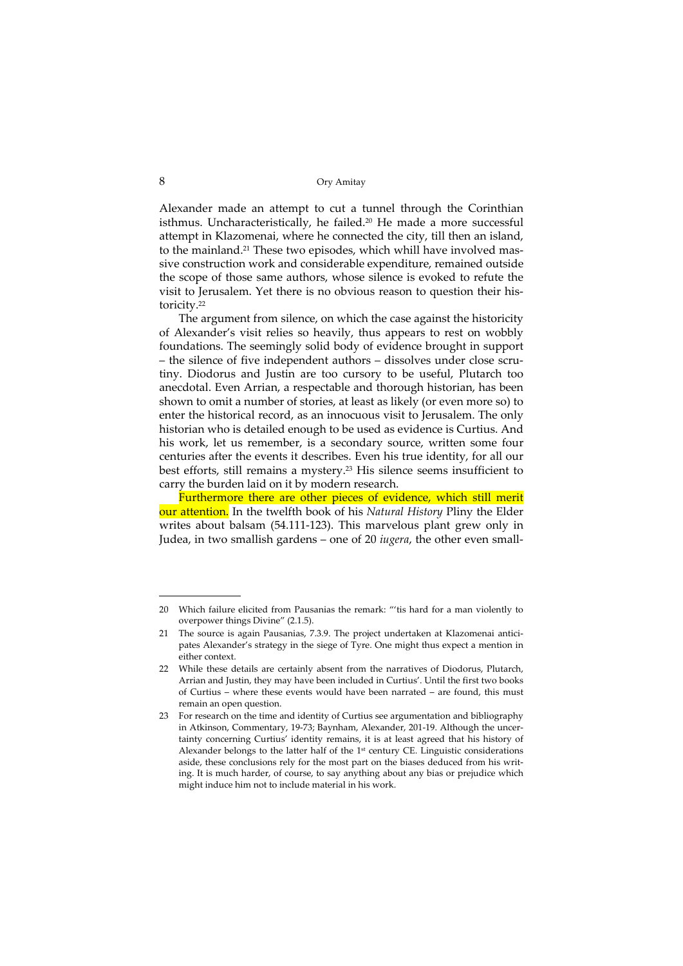Alexander made an attempt to cut a tunnel through the Corinthian isthmus. Uncharacteristically, he failed.<sup>20</sup> He made a more successful attempt in Klazomenai, where he connected the city, till then an island, to the mainland.<sup>21</sup> These two episodes, which whill have involved massive construction work and considerable expenditure, remained outside the scope of those same authors, whose silence is evoked to refute the visit to Jerusalem. Yet there is no obvious reason to question their his‐ toricity.22

The argument from silence, on which the case against the historicity of Alexander's visit relies so heavily, thus appears to rest on wobbly foundations. The seemingly solid body of evidence brought in support – the silence of five independent authors – dissolves under close scru‐ tiny. Diodorus and Justin are too cursory to be useful, Plutarch too anecdotal. Even Arrian, a respectable and thorough historian, has been shown to omit a number of stories, at least as likely (or even more so) to enter the historical record, as an innocuous visit to Jerusalem. The only historian who is detailed enough to be used as evidence is Curtius. And his work, let us remember, is a secondary source, written some four centuries after the events it describes. Even his true identity, for all our best efforts, still remains a mystery.23 His silence seems insufficient to carry the burden laid on it by modern research.

Furthermore there are other pieces of evidence, which still merit our attention. In the twelfth book of his *Natural History* Pliny the Elder writes about balsam (54.111‐123). This marvelous plant grew only in Judea, in two smallish gardens – one of 20 *iugera*, the other even small‐

<sup>20</sup> Which failure elicited from Pausanias the remark: "'tis hard for a man violently to overpower things Divine" (2.1.5).

<sup>21</sup> The source is again Pausanias, 7.3.9. The project undertaken at Klazomenai anticipates Alexander's strategy in the siege of Tyre. One might thus expect a mention in either context.

<sup>22</sup> While these details are certainly absent from the narratives of Diodorus, Plutarch, Arrian and Justin, they may have been included in Curtius'. Until the first two books of Curtius – where these events would have been narrated – are found, this must remain an open question.

<sup>23</sup> For research on the time and identity of Curtius see argumentation and bibliography in Atkinson, Commentary, 19-73; Baynham, Alexander, 201-19. Although the uncertainty concerning Curtius' identity remains, it is at least agreed that his history of Alexander belongs to the latter half of the 1st century CE. Linguistic considerations aside, these conclusions rely for the most part on the biases deduced from his writing. It is much harder, of course, to say anything about any bias or prejudice which might induce him not to include material in his work.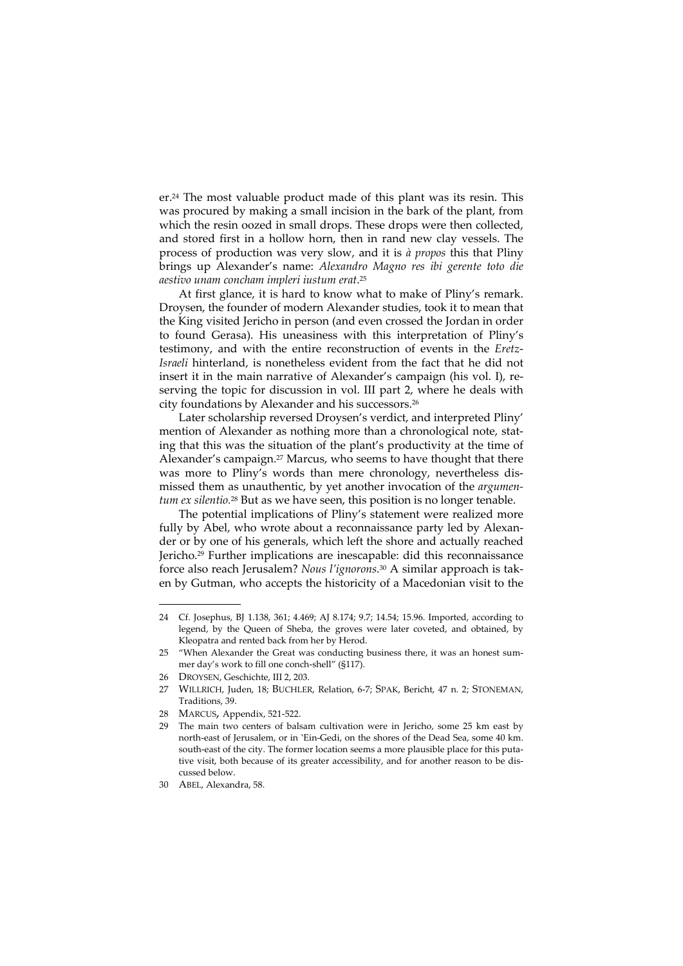er.24 The most valuable product made of this plant was its resin. This was procured by making a small incision in the bark of the plant, from which the resin oozed in small drops. These drops were then collected, and stored first in a hollow horn, then in rand new clay vessels. The process of production was very slow, and it is *à propos* this that Pliny brings up Alexander's name: *Alexandro Magno res ibi gerente toto die aestivo unam concham impleri iustum erat*. 25

At first glance, it is hard to know what to make of Pliny's remark. Droysen, the founder of modern Alexander studies, took it to mean that the King visited Jericho in person (and even crossed the Jordan in order to found Gerasa). His uneasiness with this interpretation of Pliny's testimony, and with the entire reconstruction of events in the *Eretz*-*Israeli* hinterland, is nonetheless evident from the fact that he did not insert it in the main narrative of Alexander's campaign (his vol. I), reserving the topic for discussion in vol. III part 2, where he deals with city foundations by Alexander and his successors.26

Later scholarship reversed Droysen's verdict, and interpreted Pliny' mention of Alexander as nothing more than a chronological note, stating that this was the situation of the plant's productivity at the time of Alexander's campaign.<sup>27</sup> Marcus, who seems to have thought that there was more to Pliny's words than mere chronology, nevertheless dismissed them as unauthentic, by yet another invocation of the *argumen‐ tum ex silentio.*<sup>28</sup> But as we have seen, this position is no longer tenable.

The potential implications of Pliny's statement were realized more fully by Abel, who wrote about a reconnaissance party led by Alexander or by one of his generals, which left the shore and actually reached Jericho.29 Further implications are inescapable: did this reconnaissance force also reach Jerusalem? *Nous l'ignorons*. <sup>30</sup> A similar approach is tak‐ en by Gutman, who accepts the historicity of a Macedonian visit to the

26 DROYSEN, Geschichte, III 2, 203.

28 MARCUS, Appendix, 521‐522.

<sup>24</sup> Cf. Josephus, BJ 1.138, 361; 4.469; AJ 8.174; 9.7; 14.54; 15.96. Imported, according to legend, by the Queen of Sheba, the groves were later coveted, and obtained, by Kleopatra and rented back from her by Herod.

<sup>25 &</sup>quot;When Alexander the Great was conducting business there, it was an honest summer day's work to fill one conch‐shell" (§117).

<sup>27</sup> WILLRICH, Juden, 18; BUCHLER, Relation, 6‐7; SPAK, Bericht, 47 n. 2; STONEMAN, Traditions, 39.

<sup>29</sup> The main two centers of balsam cultivation were in Jericho, some 25 km east by north‐east of Jerusalem, or in 'Ein‐Gedi, on the shores of the Dead Sea, some 40 km. south-east of the city. The former location seems a more plausible place for this putative visit, both because of its greater accessibility, and for another reason to be discussed below.

<sup>30</sup> ABEL, Alexandra, 58.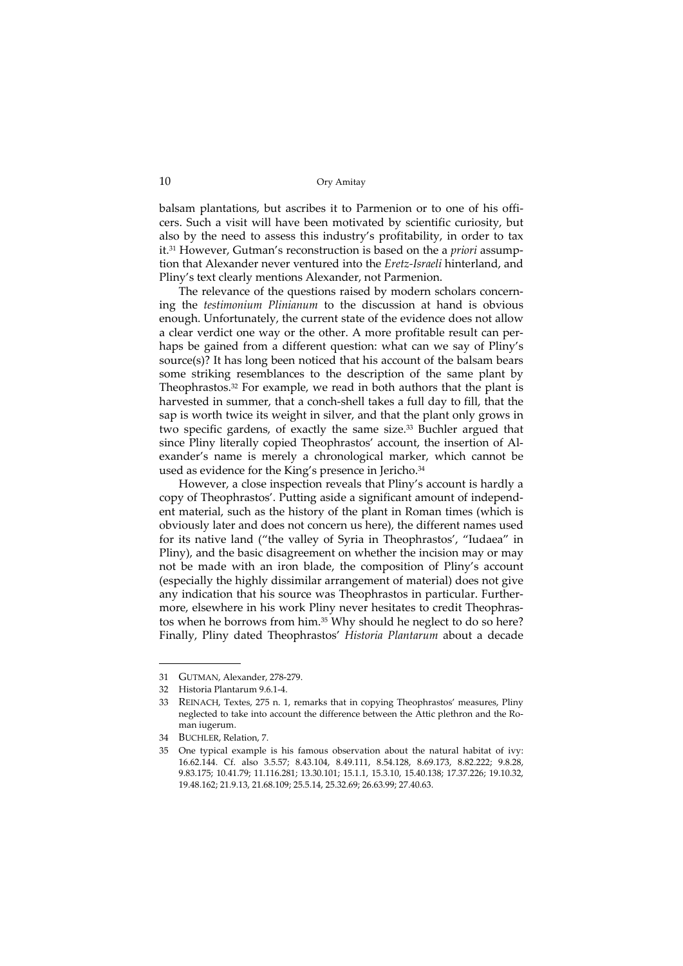balsam plantations, but ascribes it to Parmenion or to one of his officers. Such a visit will have been motivated by scientific curiosity, but also by the need to assess this industry's profitability, in order to tax it.31 However, Gutman's reconstruction is based on the a *priori* assump‐ tion that Alexander never ventured into the *Eretz‐Israeli* hinterland, and Pliny's text clearly mentions Alexander, not Parmenion.

The relevance of the questions raised by modern scholars concern‐ ing the *testimonium Plinianum* to the discussion at hand is obvious enough. Unfortunately, the current state of the evidence does not allow a clear verdict one way or the other. A more profitable result can per‐ haps be gained from a different question: what can we say of Pliny's source(s)? It has long been noticed that his account of the balsam bears some striking resemblances to the description of the same plant by Theophrastos.32 For example, we read in both authors that the plant is harvested in summer, that a conch‐shell takes a full day to fill, that the sap is worth twice its weight in silver, and that the plant only grows in two specific gardens, of exactly the same size.<sup>33</sup> Buchler argued that since Pliny literally copied Theophrastos' account, the insertion of Al‐ exander's name is merely a chronological marker, which cannot be used as evidence for the King's presence in Jericho.34

However, a close inspection reveals that Pliny's account is hardly a copy of Theophrastos'. Putting aside a significant amount of independ‐ ent material, such as the history of the plant in Roman times (which is obviously later and does not concern us here), the different names used for its native land ("the valley of Syria in Theophrastos', "Iudaea" in Pliny), and the basic disagreement on whether the incision may or may not be made with an iron blade, the composition of Pliny's account (especially the highly dissimilar arrangement of material) does not give any indication that his source was Theophrastos in particular. Further‐ more, elsewhere in his work Pliny never hesitates to credit Theophrastos when he borrows from him.35 Why should he neglect to do so here? Finally, Pliny dated Theophrastos' *Historia Plantarum* about a decade

<sup>31</sup> GUTMAN, Alexander, 278‐279.

<sup>32</sup> Historia Plantarum 9.6.1‐4.

REINACH, Textes, 275 n. 1, remarks that in copying Theophrastos' measures, Pliny neglected to take into account the difference between the Attic plethron and the Ro‐ man iugerum.

<sup>34</sup> BUCHLER, Relation, 7.

<sup>35</sup> One typical example is his famous observation about the natural habitat of ivy: 16.62.144. Cf. also 3.5.57; 8.43.104, 8.49.111, 8.54.128, 8.69.173, 8.82.222; 9.8.28, 9.83.175; 10.41.79; 11.116.281; 13.30.101; 15.1.1, 15.3.10, 15.40.138; 17.37.226; 19.10.32, 19.48.162; 21.9.13, 21.68.109; 25.5.14, 25.32.69; 26.63.99; 27.40.63.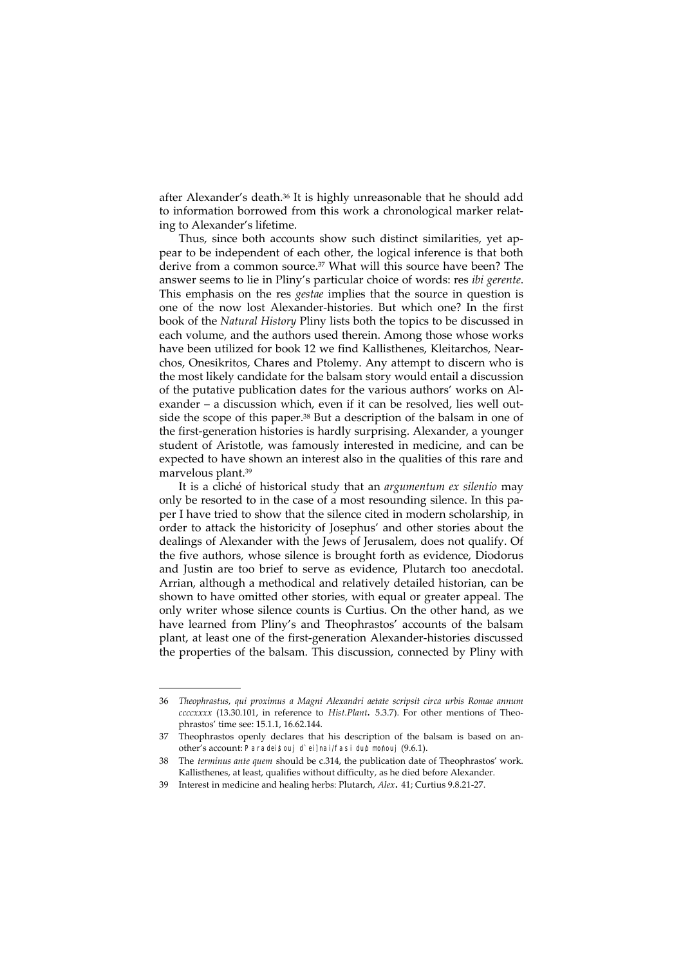after Alexander's death.36 It is highly unreasonable that he should add to information borrowed from this work a chronological marker relating to Alexander's lifetime.

Thus, since both accounts show such distinct similarities, yet appear to be independent of each other, the logical inference is that both derive from a common source.<sup>37</sup> What will this source have been? The answer seems to lie in Pliny's particular choice of words: res *ibi gerente*. This emphasis on the res *gestae* implies that the source in question is one of the now lost Alexander‐histories. But which one? In the first book of the *Natural History* Pliny lists both the topics to be discussed in each volume, and the authors used therein. Among those whose works have been utilized for book 12 we find Kallisthenes, Kleitarchos, Nearchos, Onesikritos, Chares and Ptolemy. Any attempt to discern who is the most likely candidate for the balsam story would entail a discussion of the putative publication dates for the various authors' works on Al‐ exander – a discussion which, even if it can be resolved, lies well out‐ side the scope of this paper.38 But a description of the balsam in one of the first‐generation histories is hardly surprising. Alexander, a younger student of Aristotle, was famously interested in medicine, and can be expected to have shown an interest also in the qualities of this rare and marvelous plant.39

It is a cliché of historical study that an *argumentum ex silentio* may only be resorted to in the case of a most resounding silence. In this paper I have tried to show that the silence cited in modern scholarship, in order to attack the historicity of Josephus' and other stories about the dealings of Alexander with the Jews of Jerusalem, does not qualify. Of the five authors, whose silence is brought forth as evidence, Diodorus and Justin are too brief to serve as evidence, Plutarch too anecdotal. Arrian, although a methodical and relatively detailed historian, can be shown to have omitted other stories, with equal or greater appeal. The only writer whose silence counts is Curtius. On the other hand, as we have learned from Pliny's and Theophrastos' accounts of the balsam plant, at least one of the first‐generation Alexander‐histories discussed the properties of the balsam. This discussion, connected by Pliny with

<sup>36</sup> *Theophrastus, qui proximus a Magni Alexandri aetate scripsit circa urbis Romae annum ccccxxxx* (13.30.101, in reference to *Hist.Plant.* 5.3.7). For other mentions of Theophrastos' time see: 15.1.1, 16.62.144.

<sup>37</sup> Theophrastos openly declares that his description of the balsam is based on an‐ other's account: Paradeisouj d` ei]nai/ fasi dub mohouj (9.6.1).

<sup>38</sup> The *terminus ante quem* should be c.314, the publication date of Theophrastos' work. Kallisthenes, at least, qualifies without difficulty, as he died before Alexander.

<sup>39</sup> Interest in medicine and healing herbs: Plutarch, *Alex*. 41; Curtius 9.8.21‐27.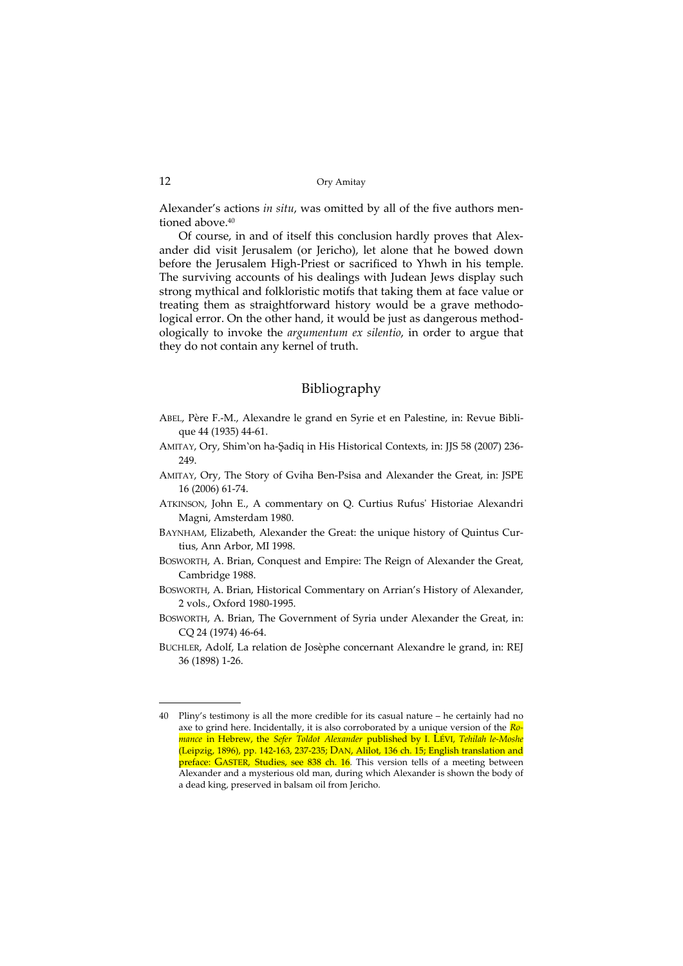Alexander's actions *in situ*, was omitted by all of the five authors men‐ tioned above.<sup>40</sup>

Of course, in and of itself this conclusion hardly proves that Alex‐ ander did visit Jerusalem (or Jericho), let alone that he bowed down before the Jerusalem High‐Priest or sacrificed to Yhwh in his temple. The surviving accounts of his dealings with Judean Jews display such strong mythical and folkloristic motifs that taking them at face value or treating them as straightforward history would be a grave methodo‐ logical error. On the other hand, it would be just as dangerous method‐ ologically to invoke the *argumentum ex silentio*, in order to argue that they do not contain any kernel of truth.

# Bibliography

- ABEL, Père F.‐M., Alexandre le grand en Syrie et en Palestine, in: Revue Bibli‐ que 44 (1935) 44‐61.
- AMITAY, Ory, Shim'on ha‐Şadiq in His Historical Contexts, in: JJS 58 (2007) 236‐ 249.
- AMITAY, Ory, The Story of Gviha Ben‐Psisa and Alexander the Great, in: JSPE 16 (2006) 61‐74.
- ATKINSON, John E., A commentary on Q. Curtius Rufusʹ Historiae Alexandri Magni, Amsterdam 1980.
- BAYNHAM, Elizabeth, Alexander the Great: the unique history of Quintus Curtius, Ann Arbor, MI 1998.
- BOSWORTH, A. Brian, Conquest and Empire: The Reign of Alexander the Great, Cambridge 1988.
- BOSWORTH, A. Brian, Historical Commentary on Arrian's History of Alexander, 2 vols., Oxford 1980‐1995.
- BOSWORTH, A. Brian, The Government of Syria under Alexander the Great, in: CQ 24 (1974) 46‐64.
- BUCHLER, Adolf, La relation de Josèphe concernant Alexandre le grand, in: REJ 36 (1898) 1‐26.

<sup>40</sup> Pliny's testimony is all the more credible for its casual nature – he certainly had no axe to grind here. Incidentally, it is also corroborated by a unique version of the *Ro*<sup>*-*</sup> *mance* in Hebrew, the *Sefer Toldot Alexander* published by I. LÉVI, *Tehilah le‐Moshe* (Leipzig, 1896), pp. 142‐163, 237‐235; DAN, Alilot, 136 ch. 15; English translation and preface: GASTER, Studies, see 838 ch. 16. This version tells of a meeting between Alexander and a mysterious old man, during which Alexander is shown the body of a dead king, preserved in balsam oil from Jericho.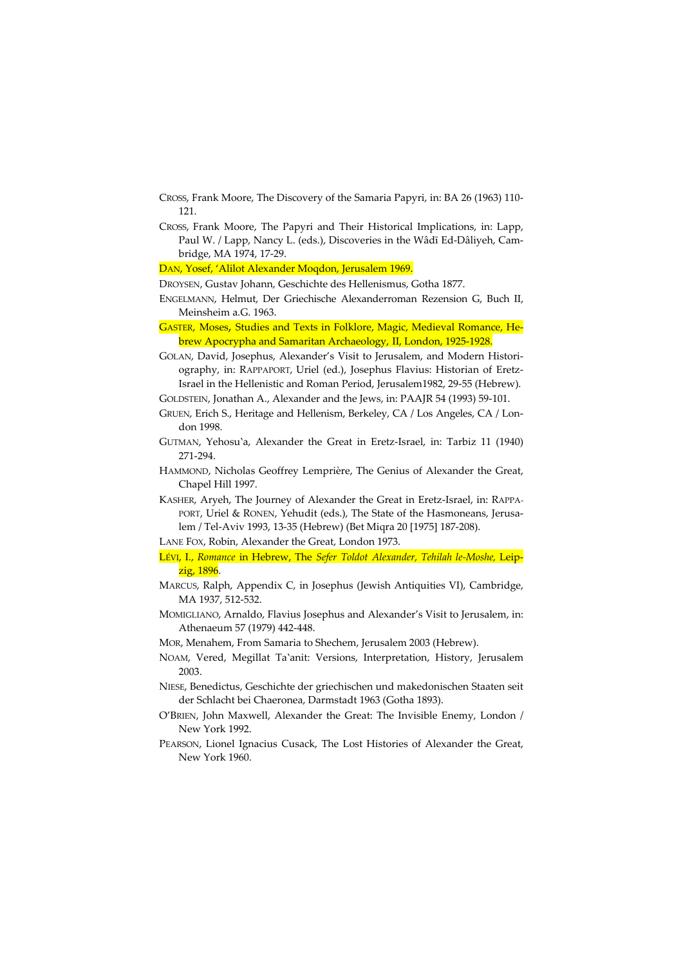- CROSS, Frank Moore, The Discovery of the Samaria Papyri, in: BA 26 (1963) 110‐ 121.
- CROSS, Frank Moore, The Papyri and Their Historical Implications, in: Lapp, Paul W. / Lapp, Nancy L. (eds.), Discoveries in the Wâdī Ed‐Dâliyeh, Cam‐ bridge, MA 1974, 17‐29.

DAN, Yosef, 'Alilot Alexander Moqdon, Jerusalem 1969.

- DROYSEN, Gustav Johann, Geschichte des Hellenismus, Gotha 1877.
- ENGELMANN, Helmut, Der Griechische Alexanderroman Rezension G, Buch II, Meinsheim a.G. 1963.
- GASTER, Moses, Studies and Texts in Folklore, Magic, Medieval Romance, He‐ brew Apocrypha and Samaritan Archaeology, II, London, 1925‐1928.
- GOLAN, David, Josephus, Alexander's Visit to Jerusalem, and Modern Histori‐ ography, in: RAPPAPORT, Uriel (ed.), Josephus Flavius: Historian of Eretz‐ Israel in the Hellenistic and Roman Period, Jerusalem1982, 29‐55 (Hebrew).
- GOLDSTEIN, Jonathan A., Alexander and the Jews, in: PAAJR 54 (1993) 59‐101.
- GRUEN, Erich S., Heritage and Hellenism, Berkeley, CA / Los Angeles, CA / London 1998.
- GUTMAN, Yehosu'a, Alexander the Great in Eretz‐Israel, in: Tarbiz 11 (1940) 271‐294.
- HAMMOND, Nicholas Geoffrey Lemprière, The Genius of Alexander the Great, Chapel Hill 1997.
- KASHER, Aryeh, The Journey of Alexander the Great in Eretz‐Israel, in: RAPPA‐ PORT, Uriel & RONEN, Yehudit (eds.), The State of the Hasmoneans, Jerusalem / Tel‐Aviv 1993, 13‐35 (Hebrew) (Bet Miqra 20 [1975] 187‐208).

LANE FOX, Robin, Alexander the Great, London 1973.

- LÉVI, I., *Romance* in Hebrew, The *Sefer Toldot Alexander, Tehilah le‐Moshe,* Leip‐ zig, 1896.
- MARCUS, Ralph, Appendix C, in Josephus (Jewish Antiquities VI), Cambridge, MA 1937, 512‐532.
- MOMIGLIANO, Arnaldo, Flavius Josephus and Alexander's Visit to Jerusalem, in: Athenaeum 57 (1979) 442‐448.
- MOR, Menahem, From Samaria to Shechem, Jerusalem 2003 (Hebrew).
- NOAM, Vered, Megillat Ta'anit: Versions, Interpretation, History, Jerusalem 2003.
- NIESE, Benedictus, Geschichte der griechischen und makedonischen Staaten seit der Schlacht bei Chaeronea, Darmstadt 1963 (Gotha 1893).
- O'BRIEN, John Maxwell, Alexander the Great: The Invisible Enemy, London / New York 1992.
- PEARSON, Lionel Ignacius Cusack, The Lost Histories of Alexander the Great, New York 1960.